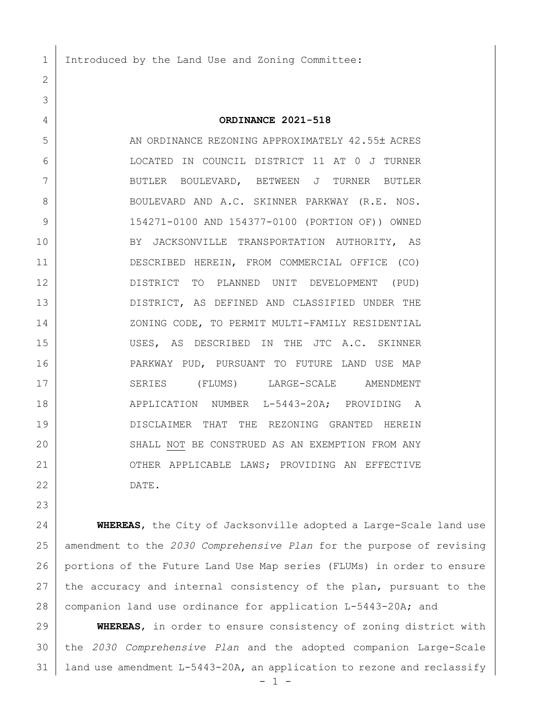Introduced by the Land Use and Zoning Committee:

## **ORDINANCE 2021-518**

5 AN ORDINANCE REZONING APPROXIMATELY 42.55± ACRES LOCATED IN COUNCIL DISTRICT 11 AT 0 J TURNER BUTLER BOULEVARD, BETWEEN J TURNER BUTLER 8 BOULEVARD AND A.C. SKINNER PARKWAY (R.E. NOS. 154271-0100 AND 154377-0100 (PORTION OF)) OWNED BY JACKSONVILLE TRANSPORTATION AUTHORITY, AS DESCRIBED HEREIN, FROM COMMERCIAL OFFICE (CO) DISTRICT TO PLANNED UNIT DEVELOPMENT (PUD) DISTRICT, AS DEFINED AND CLASSIFIED UNDER THE 14 | ZONING CODE, TO PERMIT MULTI-FAMILY RESIDENTIAL USES, AS DESCRIBED IN THE JTC A.C. SKINNER PARKWAY PUD, PURSUANT TO FUTURE LAND USE MAP 17 SERIES (FLUMS) LARGE-SCALE AMENDMENT APPLICATION NUMBER L-5443-20A; PROVIDING A DISCLAIMER THAT THE REZONING GRANTED HEREIN 20 SHALL NOT BE CONSTRUED AS AN EXEMPTION FROM ANY 21 OTHER APPLICABLE LAWS; PROVIDING AN EFFECTIVE DATE.

 **WHEREAS**, the City of Jacksonville adopted a Large-Scale land use amendment to the *2030 Comprehensive Plan* for the purpose of revising portions of the Future Land Use Map series (FLUMs) in order to ensure 27 the accuracy and internal consistency of the plan, pursuant to the companion land use ordinance for application L-5443-20A; and

 **WHEREAS**, in order to ensure consistency of zoning district with the *2030 Comprehensive Plan* and the adopted companion Large-Scale 31 | land use amendment L-5443-20A, an application to rezone and reclassify

 $- 1 -$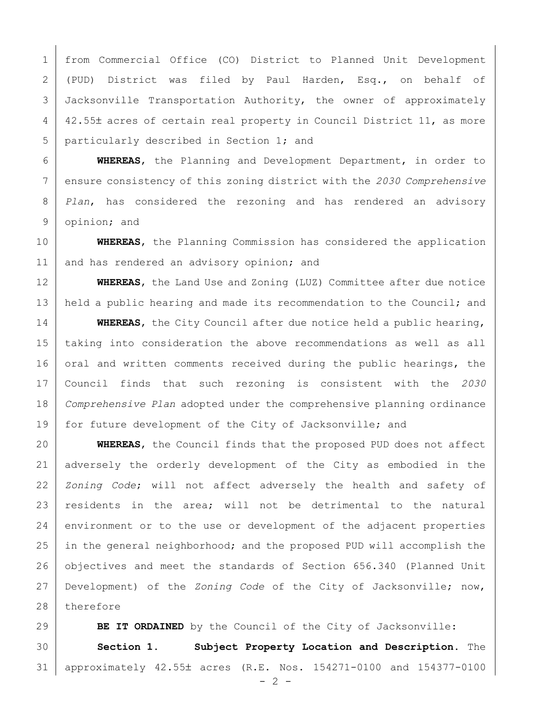from Commercial Office (CO) District to Planned Unit Development (PUD) District was filed by Paul Harden, Esq., on behalf of Jacksonville Transportation Authority, the owner of approximately 4 42.55± acres of certain real property in Council District 11, as more particularly described in Section 1; and

 **WHEREAS**, the Planning and Development Department, in order to ensure consistency of this zoning district with the *2030 Comprehensive Plan*, has considered the rezoning and has rendered an advisory opinion; and

 **WHEREAS**, the Planning Commission has considered the application 11 and has rendered an advisory opinion; and

 **WHEREAS**, the Land Use and Zoning (LUZ) Committee after due notice 13 held a public hearing and made its recommendation to the Council; and

 **WHEREAS**, the City Council after due notice held a public hearing, taking into consideration the above recommendations as well as all 16 oral and written comments received during the public hearings, the Council finds that such rezoning is consistent with the *2030 Comprehensive Plan* adopted under the comprehensive planning ordinance for future development of the City of Jacksonville; and

 **WHEREAS**, the Council finds that the proposed PUD does not affect adversely the orderly development of the City as embodied in the *Zoning Code*; will not affect adversely the health and safety of residents in the area; will not be detrimental to the natural 24 environment or to the use or development of the adjacent properties in the general neighborhood; and the proposed PUD will accomplish the objectives and meet the standards of Section 656.340 (Planned Unit Development) of the *Zoning Code* of the City of Jacksonville; now, 28 therefore

**BE IT ORDAINED** by the Council of the City of Jacksonville: **Section 1. Subject Property Location and Description.** The approximately 42.55 acres (R.E. Nos. 154271-0100 and 154377-0100

 $- 2 -$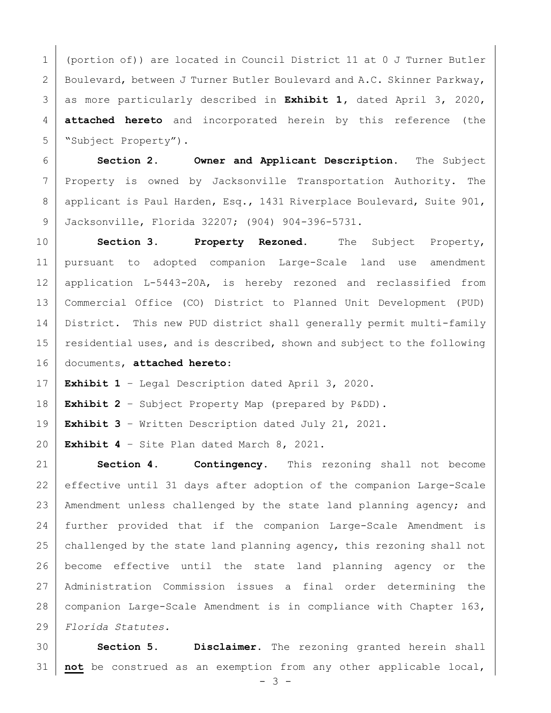(portion of)) are located in Council District 11 at 0 J Turner Butler 2 Boulevard, between J Turner Butler Boulevard and A.C. Skinner Parkway, as more particularly described in **Exhibit 1,** dated April 3, 2020, **attached hereto** and incorporated herein by this reference (the "Subject Property").

 **Section 2. Owner and Applicant Description.** The Subject Property is owned by Jacksonville Transportation Authority. The 8 | applicant is Paul Harden, Esq., 1431 Riverplace Boulevard, Suite 901, Jacksonville, Florida 32207; (904) 904-396-5731.

 **Section 3. Property Rezoned.** The Subject Property, pursuant to adopted companion Large-Scale land use amendment application L-5443-20A, is hereby rezoned and reclassified from Commercial Office (CO) District to Planned Unit Development (PUD) 14 District. This new PUD district shall generally permit multi-family residential uses, and is described, shown and subject to the following documents, **attached hereto**:

**Exhibit 1** – Legal Description dated April 3, 2020.

**Exhibit 2** – Subject Property Map (prepared by P&DD).

**Exhibit 3** – Written Description dated July 21, 2021.

**Exhibit 4** – Site Plan dated March 8, 2021.

 **Section 4. Contingency.** This rezoning shall not become effective until 31 days after adoption of the companion Large-Scale Amendment unless challenged by the state land planning agency; and further provided that if the companion Large-Scale Amendment is 25 challenged by the state land planning agency, this rezoning shall not become effective until the state land planning agency or the Administration Commission issues a final order determining the companion Large-Scale Amendment is in compliance with Chapter 163, *Florida Statutes.*

 **Section 5. Disclaimer.** The rezoning granted herein shall **not** be construed as an exemption from any other applicable local,

 $- 3 -$